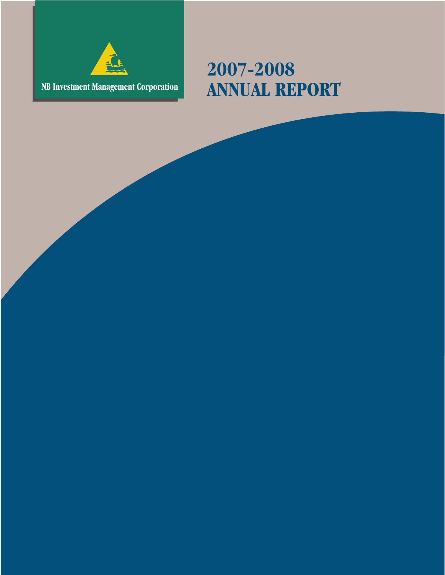

# **2007-2008 NB Investment Management Corporation ANNUAL REPORT**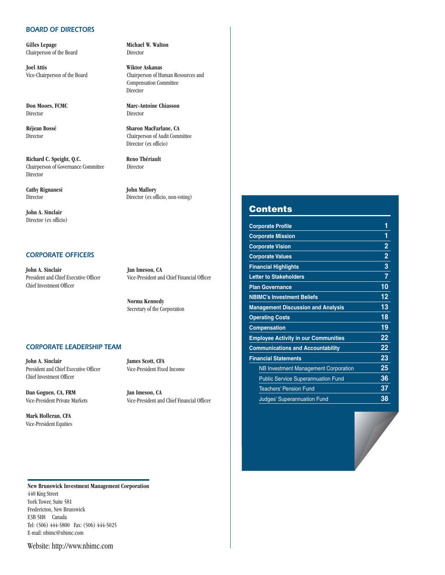#### *BOARD OF DIRECTORS*

**Gilles Lepage Michael W. Walton**<br>Chairperson of the Board **Michael Director** Chairperson of the Board

**Joel Attis Wiktor Askanas** Vice-Chairperson of the Board Chairperson of Human Resources and

**Don Moors, FCMC** Marc-Antoine Chiasson Director Director

**Réjean Bossé Sharon MacFarlane, CA** Director Chairperson of Audit Committee

Richard C. Speight, Q.C. Reno Thériault Chairperson of Governance Committee Director Director

**Cathy Rignanesi John Mallory** Director Director (ex officio, non-voting)

**John A. Sinclair** Director (ex officio)

#### *CORPORATE OFFICERS*

**John A. Sinclair Jan Imeson, CA** Chief Investment Officer

President and Chief Executive Officer Vice-President and Chief Financial Officer

**Norma Kennedy** Secretary of the Corporation

Compensation Committee

Director (ex officio)

Director

#### *CORPORATE LEADERSHIP TEAM*

**John A. Sinclair James Scott, CFA** President and Chief Executive Officer Vice-President Fixed Income Chief Investment Officer

**Dan Goguen, CA, FRM Jan Imeson, CA** 

**Mark Holleran, CFA** Vice-President Equities

Vice-President Private Markets Vice-President and Chief Financial Officer

#### **Contents**

| <b>Corporate Profile</b>                    | 1              |
|---------------------------------------------|----------------|
| <b>Corporate Mission</b>                    | 1              |
| <b>Corporate Vision</b>                     | $\overline{2}$ |
| <b>Corporate Values</b>                     | $\overline{2}$ |
| <b>Financial Highlights</b>                 | 3              |
| <b>Letter to Stakeholders</b>               | 7              |
| <b>Plan Governance</b>                      | 10             |
| <b>NBIMC's Investment Beliefs</b>           | 12             |
| <b>Management Discussion and Analysis</b>   | 13             |
| <b>Operating Costs</b>                      | 18             |
| <b>Compensation</b>                         | 19             |
| <b>Employee Activity in our Communities</b> | 22             |
| <b>Communications and Accountability</b>    | 22             |
| <b>Financial Statements</b>                 | 23             |
| <b>NB Investment Management Corporation</b> | 25             |
| <b>Public Service Superannuation Fund</b>   | 36             |
| <b>Teachers' Pension Fund</b>               | 37             |
| <b>Judges' Superannuation Fund</b>          | 38             |

**New Brunswick Investment Management Corporation** 440 King Street York Tower, Suite 581 Fredericton, New Brunswick E3B 5H8 Canada Tel: (506) 444-5800 Fax: (506) 444-5025 E-mail: nbimc@nbimc.com

Website: http://www.nbimc.com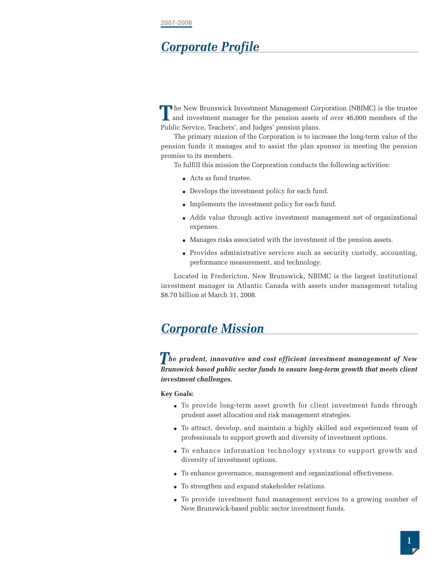# *Corporate Profile*

**h** he New Brunswick Investment Management Corporation (NBIMC) is the trustee **T** he New Brunswick Investment Management Corporation (NBIMC) is the trustee and investment manager for the pension assets of over 46,000 members of the Public Service, Teachers', and Judges' pension plans.

The primary mission of the Corporation is to increase the long-term value of the pension funds it manages and to assist the plan sponsor in meeting the pension promise to its members.

To fulfill this mission the Corporation conducts the following activities:

- Acts as fund trustee.
- Develops the investment policy for each fund.
- Implements the investment policy for each fund.
- Adds value through active investment management net of organizational expenses.
- Manages risks associated with the investment of the pension assets.
- Provides administrative services such as security custody, accounting, performance measurement, and technology.

Located in Fredericton, New Brunswick, NBIMC is the largest institutional investment manager in Atlantic Canada with assets under management totaling \$8.70 billion at March 31, 2008.

# *Corporate Mission*

*he prudent, innovative and cost efficient investment management of New***<br>** *The prudent, innovative and cost efficient investment management of New Brunswick based public sector funds to ensure long-term growth that meets client investment challenges.*

#### **Key Goals:**

- To provide long-term asset growth for client investment funds through prudent asset allocation and risk management strategies.
- To attract, develop, and maintain a highly skilled and experienced team of professionals to support growth and diversity of investment options.
- To enhance information technology systems to support growth and diversity of investment options.
- To enhance governance, management and organizational effectiveness.
- To strengthen and expand stakeholder relations.
- To provide investment fund management services to a growing number of New Brunswick-based public sector investment funds.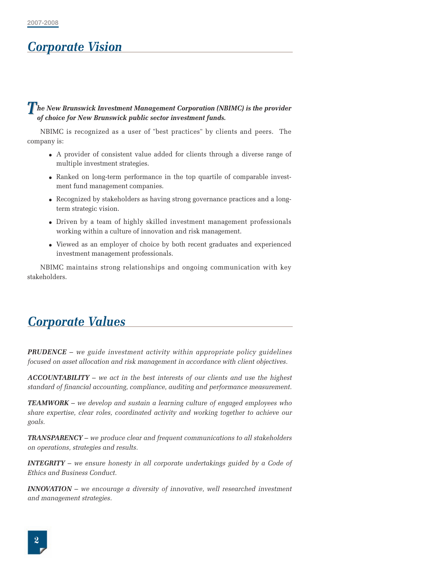# *Corporate Vision*

#### *he New Brunswick Investment Management Corporation (NBIMC) is the provider***<br>
of choice for New Brunowick public certain investment funds** *of choice for New Brunswick public sector investment funds.*

NBIMC is recognized as a user of "best practices" by clients and peers. The company is:

- A provider of consistent value added for clients through a diverse range of multiple investment strategies.
- Ranked on long-term performance in the top quartile of comparable investment fund management companies.
- Recognized by stakeholders as having strong governance practices and a longterm strategic vision.
- Driven by a team of highly skilled investment management professionals working within a culture of innovation and risk management.
- Viewed as an employer of choice by both recent graduates and experienced investment management professionals.

NBIMC maintains strong relationships and ongoing communication with key stakeholders.

# *Corporate Values*

*PRUDENCE* – *we guide investment activity within appropriate policy guidelines focused on asset allocation and risk management in accordance with client objectives.*

*ACCOUNTABILITY* – *we act in the best interests of our clients and use the highest standard of financial accounting, compliance, auditing and performance measurement.*

*TEAMWORK* – *we develop and sustain a learning culture of engaged employees who share expertise, clear roles, coordinated activity and working together to achieve our goals.*

*TRANSPARENCY* – *we produce clear and frequent communications to all stakeholders on operations, strategies and results.*

*INTEGRITY* – *we ensure honesty in all corporate undertakings guided by a Code of Ethics and Business Conduct.*

*INNOVATION* – *we encourage a diversity of innovative, well researched investment and management strategies.*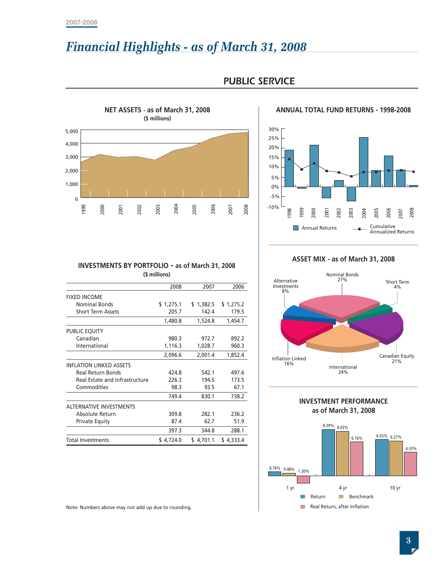# *Financial Highlights - as of March 31, 2008*



### *PUBLIC SERVICE*

#### **ANNUAL TOTAL FUND RETURNS - 1998-2008**



#### **INVESTMENTS BY PORTFOLIO - as of March 31, 2008 (\$ millions)**

| 999                  | 2000                           | 2002<br>2001                                           | 2003          | 2004      | 2005      | 2006<br>2008<br>2007 |
|----------------------|--------------------------------|--------------------------------------------------------|---------------|-----------|-----------|----------------------|
|                      |                                |                                                        |               |           |           |                      |
|                      |                                | <b>INVESTMENTS BY PORTFOLIO - as of March 31, 2008</b> | (\$ millions) |           |           |                      |
|                      |                                |                                                        |               | 2008      | 2007      | 2006                 |
| <b>FIXED INCOME</b>  |                                |                                                        |               |           |           |                      |
|                      | <b>Nominal Bonds</b>           |                                                        |               | \$1,275.1 | \$1,382.5 | \$1,275.2            |
|                      | <b>Short Term Assets</b>       |                                                        |               | 205.7     | 142.4     | 179.5                |
|                      |                                |                                                        |               | 1,480.8   | 1,524.8   | 1,454.7              |
| <b>PUBLIC EQUITY</b> |                                |                                                        |               |           |           |                      |
|                      | Canadian                       |                                                        |               | 980.3     | 972.7     | 892.2                |
|                      | International                  |                                                        |               | 1,116.3   | 1,028.7   | 960.3                |
|                      |                                |                                                        |               | 2,096.6   | 2,001.4   | 1,852.4              |
|                      | <b>INFLATION LINKED ASSETS</b> |                                                        |               |           |           |                      |
|                      | <b>Real Return Bonds</b>       |                                                        |               | 424.8     | 542.1     | 497.6                |
|                      |                                | Real Estate and Infrastructure                         |               | 226.3     | 194.5     | 173.5                |
|                      | Commodities                    |                                                        |               | 98.3      | 93.5      | 67.1                 |
|                      |                                |                                                        |               | 749.4     | 830.1     | 738.2                |
|                      | <b>ALTERNATIVE INVESTMENTS</b> |                                                        |               |           |           |                      |
|                      | Absolute Return                |                                                        |               | 309.8     | 282.1     | 236.2                |
|                      | <b>Private Equity</b>          |                                                        |               | 87.4      | 62.7      | 51.9                 |
|                      |                                |                                                        |               | 397.3     | 344.8     | 288.1                |
|                      | <b>Total Investments</b>       |                                                        |               | \$4,724.0 | \$4,701.1 | \$4,333.4            |









Note: Numbers above may not add up due to rounding.

**3**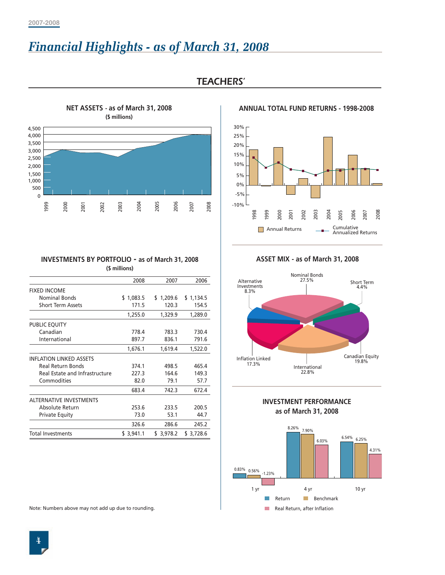# *Financial Highlights - as of March 31, 2008*



### *TEACHERS'*

**ANNUAL TOTAL FUND RETURNS - 1998-2008**



# **INVESTMENTS BY PORTFOLIO - as of March 31, 2008**

| <b>INVESTMENTS BY PORTFOLIO - as of March 31, 2008</b> |               |           |                    |
|--------------------------------------------------------|---------------|-----------|--------------------|
|                                                        | (\$ millions) |           |                    |
|                                                        | 2008          | 2007      | 2006               |
| <b>FIXED INCOME</b><br><b>Nominal Bonds</b>            | \$1,083.5     | \$1,209.6 |                    |
| <b>Short Term Assets</b>                               | 171.5         | 120.3     | \$1,134.5<br>154.5 |
|                                                        | 1,255.0       | 1,329.9   | 1,289.0            |
|                                                        |               |           |                    |
| PUBLIC EQUITY<br>Canadian                              | 778.4         | 783.3     | 730.4              |
| International                                          | 897.7         | 836.1     | 791.6              |
|                                                        | 1,676.1       | 1,619.4   | 1,522.0            |
| <b>INFLATION LINKED ASSETS</b>                         |               |           |                    |
| <b>Real Return Bonds</b>                               | 374.1         | 498.5     | 465.4              |
| Real Estate and Infrastructure                         | 227.3         | 164.6     | 149.3              |
| Commodities                                            | 82.0          | 79.1      | 57.7               |
|                                                        | 683.4         | 742.3     | 672.4              |
| <b>ALTERNATIVE INVESTMENTS</b>                         |               |           |                    |
| Absolute Return                                        | 253.6         | 233.5     | 200.5              |
| <b>Private Equity</b>                                  | 73.0          | 53.1      | 44.7               |
|                                                        | 326.6         | 286.6     | 245.2              |
| <b>Total Investments</b>                               | \$3,941.1     | \$3,978.2 | \$3,728.6          |
| Note: Numbers above may not add up due to rounding.    |               |           |                    |

#### **ASSET MIX - as of March 31, 2008**



#### **INVESTMENT PERFORMANCE as of March 31, 2008**

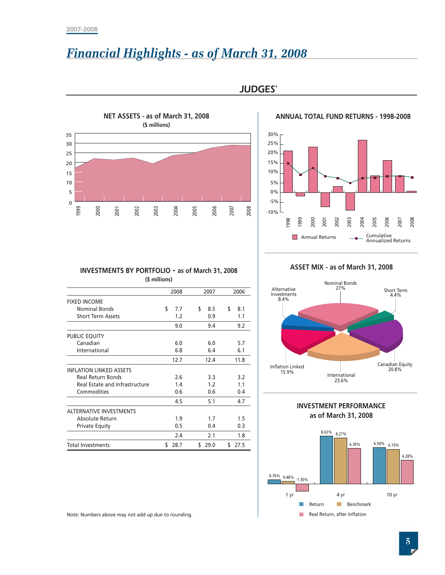# *Financial Highlights - as of March 31, 2008*



*JUDGES'*



| 1999                           | 2000                                             | 2001 | 2002                                                   | 2003          | 2004              | 2005 | 2006              | 2007 | 2008              | $-10\%$ | 998                                 | 1999<br><b>T</b> | 2000   | 2001<br><b>Annual Returns</b> | 2002        | 2003                         | 2004                                                  | 2005<br>Cumulative | 2006                            | 2007<br><b>Annualized Returns</b> |  |
|--------------------------------|--------------------------------------------------|------|--------------------------------------------------------|---------------|-------------------|------|-------------------|------|-------------------|---------|-------------------------------------|------------------|--------|-------------------------------|-------------|------------------------------|-------------------------------------------------------|--------------------|---------------------------------|-----------------------------------|--|
|                                |                                                  |      | <b>INVESTMENTS BY PORTFOLIO - as of March 31, 2008</b> | (\$ millions) |                   |      |                   |      |                   |         | Alternative                         |                  |        |                               | 27%         | <b>Nominal Bonds</b>         | ASSET MIX - as of March 31, 2008                      |                    |                                 |                                   |  |
|                                |                                                  |      |                                                        |               | 2008              |      | 2007              |      | 2006              |         | Investments                         |                  |        |                               |             |                              |                                                       |                    |                                 | Short Term<br>4.4%                |  |
| <b>FIXED INCOME</b>            | <b>Nominal Bonds</b><br><b>Short Term Assets</b> |      |                                                        | \$            | 7.7<br>1.2<br>9.0 | \$   | 8.5<br>0.9<br>9.4 | \$   | 8.1<br>1.1<br>9.2 |         | 8.4%                                |                  |        |                               |             |                              |                                                       |                    |                                 |                                   |  |
| PUBLIC EQUITY                  |                                                  |      |                                                        |               |                   |      |                   |      |                   |         |                                     |                  |        |                               |             |                              |                                                       |                    |                                 |                                   |  |
|                                | Canadian<br>International                        |      |                                                        |               | 6.0<br>6.8        |      | 6.0<br>6.4        |      | 5.7<br>6.1        |         |                                     |                  |        |                               |             |                              |                                                       |                    |                                 |                                   |  |
|                                |                                                  |      |                                                        |               | 12.7              |      | 12.4              |      | 11.8              |         |                                     |                  |        |                               |             |                              |                                                       |                    |                                 | Canadian Equit                    |  |
| <b>INFLATION LINKED ASSETS</b> | Real Return Bonds<br>Commodities                 |      | Real Estate and Infrastructure                         |               | 2.6<br>1.4<br>0.6 |      | 3.3<br>1.2<br>0.6 |      | 3.2<br>1.1<br>0.4 |         | <b>Inflation Linked</b><br>15.9%    |                  |        |                               | 23.6%       | International                |                                                       |                    |                                 | 20.8%                             |  |
|                                |                                                  |      |                                                        |               | 4.5               |      | 5.1               |      | 4.7               |         |                                     |                  |        |                               |             |                              |                                                       |                    |                                 |                                   |  |
| <b>ALTERNATIVE INVESTMENTS</b> | Absolute Return<br>Private Equity                |      |                                                        |               | 1.9<br>0.5<br>2.4 |      | 1.7<br>0.4<br>2.1 |      | 1.5<br>0.3<br>1.8 |         |                                     |                  |        |                               | 8.63% 8.27% |                              | <b>INVESTMENT PERFORMANCE</b><br>as of March 31, 2008 |                    |                                 |                                   |  |
| <b>Total Investments</b>       |                                                  |      |                                                        |               | \$28.7            |      | \$29.0            |      | \$27.5            | 0.76%   | $0.48\%$ <sub>-1.30</sub> %<br>1 yr |                  |        |                               | 4 yr        | 6.39%                        |                                                       |                    | 6.50% 6.19%<br>10 <sub>yr</sub> | 4.28                              |  |
|                                |                                                  |      | Note: Numbers above may not add up due to rounding.    |               |                   |      |                   |      |                   |         |                                     |                  | Return |                               | <b>In</b>   | Real Return, after Inflation | Benchmark                                             |                    |                                 | $\overline{5}$                    |  |

**ASSET MIX - as of March 31, 2008**





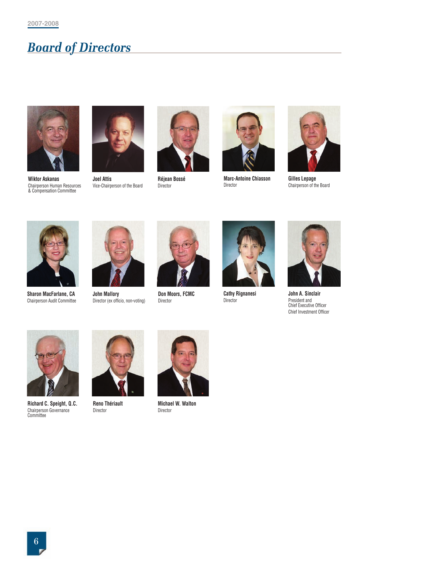# *Board of Directors*



**Wiktor Askanas** Chairperson Human Resources & Compensation Committee



**Joel Attis** Vice-Chairperson of the Board



**Réjean Bossé** Director



**Marc-Antoine Chiasson** Director



**Gilles Lepage** Chairperson of the Board



**Sharon MacFarlane, CA** Chairperson Audit Committee



**John Mallory** Director (ex officio, non-voting)



**Don Moors, FCMC** Director



**Cathy Rignanesi** Director



**John A. Sinclair** President and Chief Executive Officer Chief Investment Officer



**Richard C. Speight, Q.C.** Chairperson Governance Committee



**Reno Thériault** Director



**Michael W. Walton** Director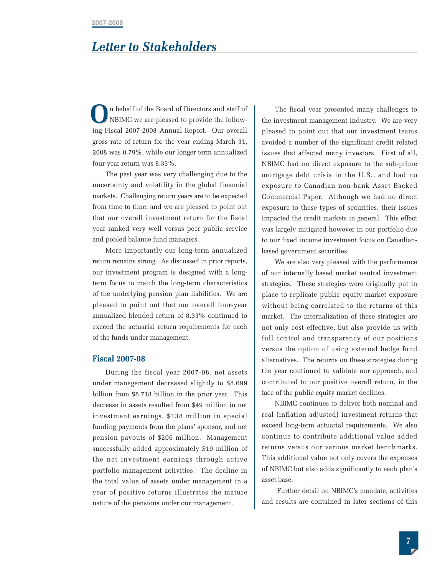# *Letter to Stakeholders*

n behalf of the Board of Directors and staff of NBIMC we are pleased to provide the following Fiscal 2007-2008 Annual Report. Our overall gross rate of return for the year ending March 31, 2008 was 0.79%, while our longer term annualized four-year return was 8.33%. **O**

The past year was very challenging due to the uncertainty and volatility in the global financial markets. Challenging return years are to be expected from time to time, and we are pleased to point out that our overall investment return for the fiscal year ranked very well versus peer public service and pooled balance fund managers.

More importantly our long-term annualized return remains strong. As discussed in prior reports, our investment program is designed with a longterm focus to match the long-term characteristics of the underlying pension plan liabilities. We are pleased to point out that our overall four-year annualized blended return of 8.33% continued to exceed the actuarial return requirements for each of the funds under management.

#### **Fiscal 2007-08**

During the fiscal year 2007-08, net assets under management decreased slightly to \$8.699 billion from \$8.718 billion in the prior year. This decrease in assets resulted from \$49 million in net investment earnings, \$138 million in special funding payments from the plans' sponsor, and net pension payouts of \$206 million. Management successfully added approximately \$19 million of the net investment earnings through active portfolio management activities. The decline in the total value of assets under management in a year of positive returns illustrates the mature nature of the pensions under our management.

The fiscal year presented many challenges to the investment management industry. We are very pleased to point out that our investment teams avoided a number of the significant credit related issues that affected many investors. First of all, NBIMC had no direct exposure to the sub-prime mortgage debt crisis in the U.S., and had no exposure to Canadian non-bank Asset Backed Commercial Paper. Although we had no direct exposure to these types of securities, their issues impacted the credit markets in general. This effect was largely mitigated however in our portfolio due to our fixed income investment focus on Canadianbased government securities.

We are also very pleased with the performance of our internally based market neutral investment strategies. These strategies were originally put in place to replicate public equity market exposure without being correlated to the returns of this market. The internalization of these strategies are not only cost effective, but also provide us with full control and transparency of our positions versus the option of using external hedge fund alternatives. The returns on these strategies during the year continued to validate our approach, and contributed to our positive overall return, in the face of the public equity market declines.

NBIMC continues to deliver both nominal and real (inflation adjusted) investment returns that exceed long-term actuarial requirements. We also continue to contribute additional value added returns versus our various market benchmarks. This additional value not only covers the expenses of NBIMC but also adds significantly to each plan's asset base.

Further detail on NBIMC's mandate, activities and results are contained in later sections of this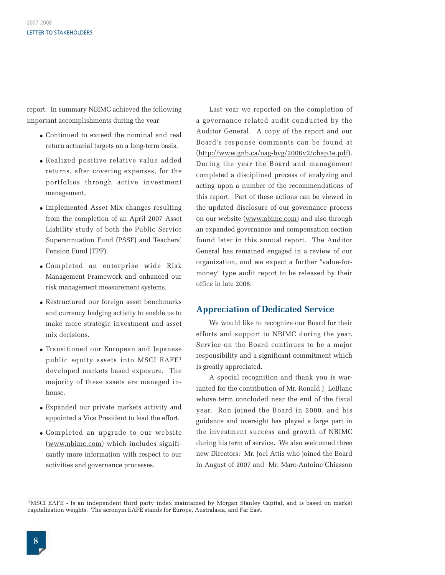report. In summary NBIMC achieved the following important accomplishments during the year:

- Continued to exceed the nominal and real return actuarial targets on a long-term basis,
- Realized positive relative value added returns, after covering expenses, for the portfolios through active investment management,
- Implemented Asset Mix changes resulting from the completion of an April 2007 Asset Liability study of both the Public Service Superannuation Fund (PSSF) and Teachers' Pension Fund (TPF).
- Completed an enterprise wide Risk Management Framework and enhanced our risk management measurement systems.
- Restructured our foreign asset benchmarks and currency hedging activity to enable us to make more strategic investment and asset mix decisions.
- Transitioned our European and Japanese public equity assets into MSCI EAFE1 developed markets based exposure. The majority of these assets are managed inhouse.
- Expanded our private markets activity and appointed a Vice President to lead the effort.
- Completed an upgrade to our website (www.nbimc.com) which includes significantly more information with respect to our activities and governance processes.

Last year we reported on the completion of a governance related audit conducted by the Auditor General. A copy of the report and our Board's response comments can be found at (http://www.gnb.ca/oag-bvg/2006v2/chap3e.pdf). During the year the Board and management completed a disciplined process of analyzing and acting upon a number of the recommendations of this report. Part of these actions can be viewed in the updated disclosure of our governance process on our website (www.nbimc.com) and also through an expanded governance and compensation section found later in this annual report. The Auditor General has remained engaged in a review of our organization, and we expect a further "value-formoney" type audit report to be released by their office in late 2008.

#### **Appreciation of Dedicated Service**

We would like to recognize our Board for their efforts and support to NBIMC during the year. Service on the Board continues to be a major responsibility and a significant commitment which is greatly appreciated.

A special recognition and thank you is warranted for the contribution of Mr. Ronald J. LeBlanc whose term concluded near the end of the fiscal year. Ron joined the Board in 2000, and his guidance and oversight has played a large part in the investment success and growth of NBIMC during his term of service. We also welcomed three new Directors: Mr. Joel Attis who joined the Board in August of 2007 and Mr. Marc-Antoine Chiasson

<sup>1</sup>MSCI EAFE - Is an independent third party index maintained by Morgan Stanley Capital, and is based on market capitalization weights. The acronym EAFE stands for Europe, Australasia, and Far East.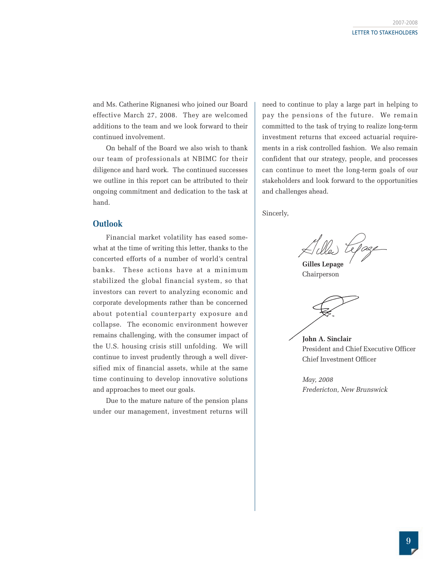and Ms. Catherine Rignanesi who joined our Board effective March 27, 2008. They are welcomed additions to the team and we look forward to their continued involvement.

On behalf of the Board we also wish to thank our team of professionals at NBIMC for their diligence and hard work. The continued successes we outline in this report can be attributed to their ongoing commitment and dedication to the task at hand.

#### **Outlook**

Financial market volatility has eased somewhat at the time of writing this letter, thanks to the concerted efforts of a number of world's central banks. These actions have at a minimum stabilized the global financial system, so that investors can revert to analyzing economic and corporate developments rather than be concerned about potential counterparty exposure and collapse. The economic environment however remains challenging, with the consumer impact of the U.S. housing crisis still unfolding. We will continue to invest prudently through a well diversified mix of financial assets, while at the same time continuing to develop innovative solutions and approaches to meet our goals.

Due to the mature nature of the pension plans under our management, investment returns will need to continue to play a large part in helping to pay the pensions of the future. We remain committed to the task of trying to realize long-term investment returns that exceed actuarial requirements in a risk controlled fashion. We also remain confident that our strategy, people, and processes can continue to meet the long-term goals of our stakeholders and look forward to the opportunities and challenges ahead.

Sincerly,

**Gilles Lepage**

Chairperson

**John A. Sinclair** President and Chief Executive Officer Chief Investment Officer

*May, 2008 Fredericton, New Brunswick*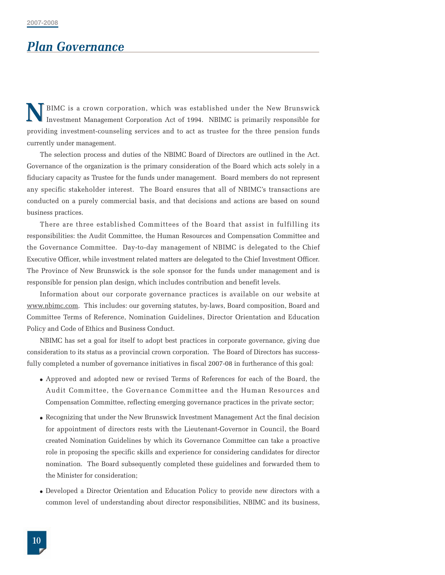# *Plan Governance*

BIMC is a crown corporation, which was established under the New Brunswick Investment Management Corporation Act of 1994. NBIMC is primarily responsible for providing investment-counseling services and to act as trustee for the three pension funds currently under management. **N**

The selection process and duties of the NBIMC Board of Directors are outlined in the Act. Governance of the organization is the primary consideration of the Board which acts solely in a fiduciary capacity as Trustee for the funds under management. Board members do not represent any specific stakeholder interest. The Board ensures that all of NBIMC's transactions are conducted on a purely commercial basis, and that decisions and actions are based on sound business practices.

There are three established Committees of the Board that assist in fulfilling its responsibilities: the Audit Committee, the Human Resources and Compensation Committee and the Governance Committee. Day-to-day management of NBIMC is delegated to the Chief Executive Officer, while investment related matters are delegated to the Chief Investment Officer. The Province of New Brunswick is the sole sponsor for the funds under management and is responsible for pension plan design, which includes contribution and benefit levels.

Information about our corporate governance practices is available on our website at www.nbimc.com. This includes: our governing statutes, by-laws, Board composition, Board and Committee Terms of Reference, Nomination Guidelines, Director Orientation and Education Policy and Code of Ethics and Business Conduct.

NBIMC has set a goal for itself to adopt best practices in corporate governance, giving due consideration to its status as a provincial crown corporation. The Board of Directors has successfully completed a number of governance initiatives in fiscal 2007-08 in furtherance of this goal:

- Approved and adopted new or revised Terms of References for each of the Board, the Audit Committee, the Governance Committee and the Human Resources and Compensation Committee, reflecting emerging governance practices in the private sector;
- Recognizing that under the New Brunswick Investment Management Act the final decision for appointment of directors rests with the Lieutenant-Governor in Council, the Board created Nomination Guidelines by which its Governance Committee can take a proactive role in proposing the specific skills and experience for considering candidates for director nomination. The Board subsequently completed these guidelines and forwarded them to the Minister for consideration;
- Developed a Director Orientation and Education Policy to provide new directors with a common level of understanding about director responsibilities, NBIMC and its business,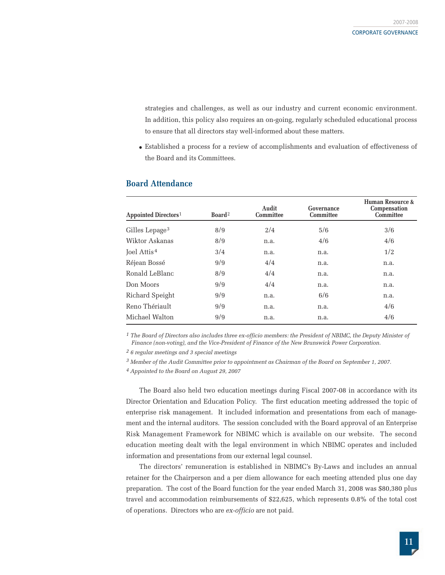strategies and challenges, as well as our industry and current economic environment. In addition, this policy also requires an on-going, regularly scheduled educational process to ensure that all directors stay well-informed about these matters.

● Established a process for a review of accomplishments and evaluation of effectiveness of the Board and its Committees.

| Appointed Directors <sup>1</sup> | Board <sup>2</sup> | Audit<br><b>Committee</b> | Governance<br><b>Committee</b> | Human Resource &<br>Compensation<br>Committee |
|----------------------------------|--------------------|---------------------------|--------------------------------|-----------------------------------------------|
| Gilles Lepage <sup>3</sup>       | 8/9                | 2/4                       | 5/6                            | 3/6                                           |
| Wiktor Askanas                   | 8/9                | n.a.                      | 4/6                            | 4/6                                           |
| Joel Attis <sup>4</sup>          | 3/4                | n.a.                      | n.a.                           | 1/2                                           |
| Réjean Bossé                     | 9/9                | 4/4                       | n.a.                           | n.a.                                          |
| Ronald LeBlanc                   | 8/9                | 4/4                       | n.a.                           | n.a.                                          |
| Don Moors                        | 9/9                | 4/4                       | n.a.                           | n.a.                                          |
| Richard Speight                  | 9/9                | n.a.                      | 6/6                            | n.a.                                          |
| Reno Thériault                   | 9/9                | n.a.                      | n.a.                           | 4/6                                           |
| Michael Walton                   | 9/9                | n.a.                      | n.a.                           | 4/6                                           |

#### **Board Attendance**

<sup>1</sup> The Board of Directors also includes three ex-officio members: the President of NBIMC, the Deputy Minister of *Finance (non-voting), and the Vice-President of Finance of the New Brunswick Power Corporation.*

*2 6 regular meetings and 3 special meetings*

*3 Member of the Audit Committee prior to appointment as Chairman of the Board on September 1, 2007.*

*4 Appointed to the Board on August 29, 2007*

The Board also held two education meetings during Fiscal 2007-08 in accordance with its Director Orientation and Education Policy. The first education meeting addressed the topic of enterprise risk management. It included information and presentations from each of management and the internal auditors. The session concluded with the Board approval of an Enterprise Risk Management Framework for NBIMC which is available on our website. The second education meeting dealt with the legal environment in which NBIMC operates and included information and presentations from our external legal counsel.

The directors' remuneration is established in NBIMC's By-Laws and includes an annual retainer for the Chairperson and a per diem allowance for each meeting attended plus one day preparation. The cost of the Board function for the year ended March 31, 2008 was \$80,380 plus travel and accommodation reimbursements of \$22,625, which represents 0.8% of the total cost of operations. Directors who are *ex-officio* are not paid.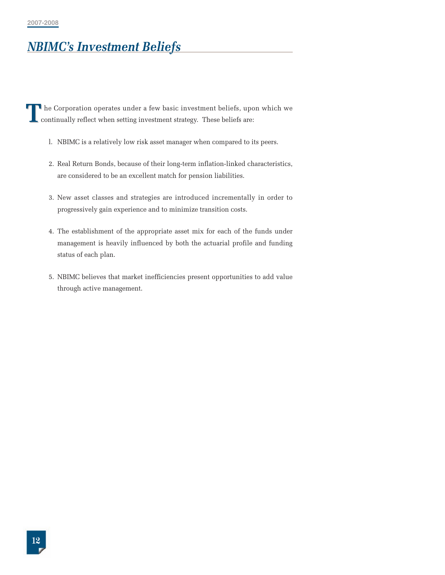# *NBIMC's Investment Beliefs*

he Corporation operates under a few basic investment beliefs, upon which we continually reflect when setting investment strategy. These beliefs are: **T**

- l. NBIMC is a relatively low risk asset manager when compared to its peers.
- 2. Real Return Bonds, because of their long-term inflation-linked characteristics, are considered to be an excellent match for pension liabilities.
- 3. New asset classes and strategies are introduced incrementally in order to progressively gain experience and to minimize transition costs.
- 4. The establishment of the appropriate asset mix for each of the funds under management is heavily influenced by both the actuarial profile and funding status of each plan.
- 5. NBIMC believes that market inefficiencies present opportunities to add value through active management.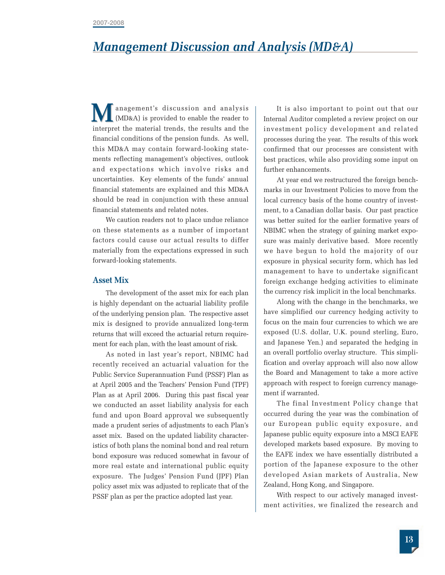# *Management Discussion and Analysis (MD&A)*

anagement's discussion and analysis (MD&A) is provided to enable the reader to **M** anagement's discussion and analysis (MD&A) is provided to enable the reader to interpret the material trends, the results and the financial conditions of the pension funds. As well, this MD&A may contain forward-looking statements reflecting management's objectives, outlook and expectations which involve risks and uncertainties. Key elements of the funds' annual financial statements are explained and this MD&A should be read in conjunction with these annual financial statements and related notes.

We caution readers not to place undue reliance on these statements as a number of important factors could cause our actual results to differ materially from the expectations expressed in such forward-looking statements.

#### **Asset Mix**

The development of the asset mix for each plan is highly dependant on the actuarial liability profile of the underlying pension plan. The respective asset mix is designed to provide annualized long-term returns that will exceed the actuarial return requirement for each plan, with the least amount of risk.

As noted in last year's report, NBIMC had recently received an actuarial valuation for the Public Service Superannuation Fund (PSSF) Plan as at April 2005 and the Teachers' Pension Fund (TPF) Plan as at April 2006. During this past fiscal year we conducted an asset liability analysis for each fund and upon Board approval we subsequently made a prudent series of adjustments to each Plan's asset mix. Based on the updated liability characteristics of both plans the nominal bond and real return bond exposure was reduced somewhat in favour of more real estate and international public equity exposure. The Judges' Pension Fund (JPF) Plan policy asset mix was adjusted to replicate that of the PSSF plan as per the practice adopted last year.

It is also important to point out that our Internal Auditor completed a review project on our investment policy development and related processes during the year. The results of this work confirmed that our processes are consistent with best practices, while also providing some input on further enhancements.

At year end we restructured the foreign benchmarks in our Investment Policies to move from the local currency basis of the home country of investment, to a Canadian dollar basis. Our past practice was better suited for the earlier formative years of NBIMC when the strategy of gaining market exposure was mainly derivative based. More recently we have begun to hold the majority of our exposure in physical security form, which has led management to have to undertake significant foreign exchange hedging activities to eliminate the currency risk implicit in the local benchmarks.

Along with the change in the benchmarks, we have simplified our currency hedging activity to focus on the main four currencies to which we are exposed (U.S. dollar, U.K. pound sterling, Euro, and Japanese Yen.) and separated the hedging in an overall portfolio overlay structure. This simplification and overlay approach will also now allow the Board and Management to take a more active approach with respect to foreign currency management if warranted.

The final Investment Policy change that occurred during the year was the combination of our European public equity exposure, and Japanese public equity exposure into a MSCI EAFE developed markets based exposure. By moving to the EAFE index we have essentially distributed a portion of the Japanese exposure to the other developed Asian markets of Australia, New Zealand, Hong Kong, and Singapore.

With respect to our actively managed investment activities, we finalized the research and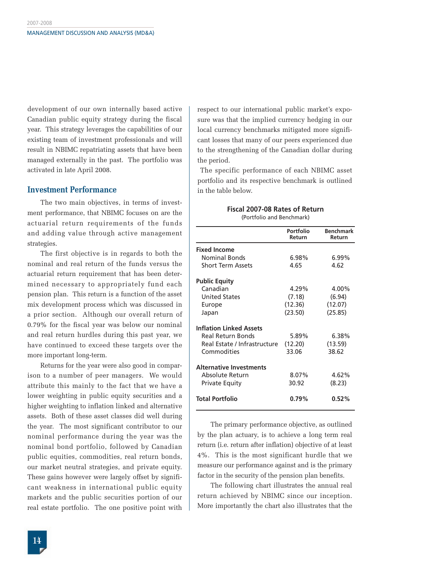development of our own internally based active Canadian public equity strategy during the fiscal year. This strategy leverages the capabilities of our existing team of investment professionals and will result in NBIMC repatriating assets that have been managed externally in the past. The portfolio was activated in late April 2008.

#### **Investment Performance**

The two main objectives, in terms of investment performance, that NBIMC focuses on are the actuarial return requirements of the funds and adding value through active management strategies.

The first objective is in regards to both the nominal and real return of the funds versus the actuarial return requirement that has been determined necessary to appropriately fund each pension plan. This return is a function of the asset mix development process which was discussed in a prior section. Although our overall return of 0.79% for the fiscal year was below our nominal and real return hurdles during this past year, we have continued to exceed these targets over the more important long-term.

Returns for the year were also good in comparison to a number of peer managers. We would attribute this mainly to the fact that we have a lower weighting in public equity securities and a higher weighting to inflation linked and alternative assets. Both of these asset classes did well during the year. The most significant contributor to our nominal performance during the year was the nominal bond portfolio, followed by Canadian public equities, commodities, real return bonds, our market neutral strategies, and private equity. These gains however were largely offset by significant weakness in international public equity markets and the public securities portion of our real estate portfolio. The one positive point with respect to our international public market's exposure was that the implied currency hedging in our local currency benchmarks mitigated more significant losses that many of our peers experienced due to the strengthening of the Canadian dollar during the period.

The specific performance of each NBIMC asset portfolio and its respective benchmark is outlined in the table below.

|                                | Portfolio<br>Return | <b>Benchmark</b><br>Return |
|--------------------------------|---------------------|----------------------------|
| <b>Fixed Income</b>            |                     |                            |
| <b>Nominal Bonds</b>           | 6.98%               | 6.99%                      |
| <b>Short Term Assets</b>       | 4.65                | 4.62                       |
| Public Equity                  |                     |                            |
| Canadian                       | 4.29%               | 4.00%                      |
| <b>United States</b>           | (7.18)              | (6.94)                     |
| Europe                         | (12.36)             | (12.07)                    |
| Japan                          | (23.50)             | (25.85)                    |
| <b>Inflation Linked Assets</b> |                     |                            |
| Real Return Bonds              | 5.89%               | $6.38\%$                   |
| Real Estate / Infrastructure   | (12.20)             | (13.59)                    |
| Commodities                    | 33.06               | 38.62                      |
| <b>Alternative Investments</b> |                     |                            |
| Absolute Return                | 8.07%               | 4.62%                      |
| <b>Private Equity</b>          | 30.92               | (8.23)                     |
| Total Portfolio                | 0.79%               | 0.52%                      |
|                                |                     |                            |

**Fiscal 2007-08 Rates of Return** (Portfolio and Benchmark)

The primary performance objective, as outlined by the plan actuary, is to achieve a long term real return (i.e. return after inflation) objective of at least 4%. This is the most significant hurdle that we measure our performance against and is the primary factor in the security of the pension plan benefits.

The following chart illustrates the annual real return achieved by NBIMC since our inception. More importantly the chart also illustrates that the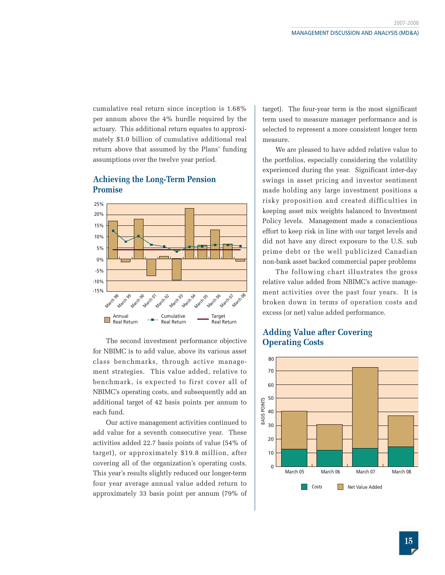cumulative real return since inception is 1.68% per annum above the 4% hurdle required by the actuary. This additional return equates to approximately \$1.0 billion of cumulative additional real return above that assumed by the Plans' funding assumptions over the twelve year period.

#### **Achieving the Long-Term Pension Promise**



The second investment performance objective for NBIMC is to add value, above its various asset class benchmarks, through active management strategies. This value added, relative to benchmark, is expected to first cover all of NBIMC's operating costs, and subsequently add an additional target of 42 basis points per annum to each fund.

Our active management activities continued to add value for a seventh consecutive year. These activities added 22.7 basis points of value (54% of target), or approximately \$19.8 million, after covering all of the organization's operating costs. This year's results slightly reduced our longer-term four year average annual value added return to approximately 33 basis point per annum (79% of target). The four-year term is the most significant term used to measure manager performance and is selected to represent a more consistent longer term measure.

We are pleased to have added relative value to the portfolios, especially considering the volatility experienced during the year. Significant inter-day swings in asset pricing and investor sentiment made holding any large investment positions a risky proposition and created difficulties in keeping asset mix weights balanced to Investment Policy levels. Management made a conscientious effort to keep risk in line with our target levels and did not have any direct exposure to the U.S. sub prime debt or the well publicized Canadian non-bank asset backed commercial paper problems

The following chart illustrates the gross relative value added from NBIMC's active management activities over the past four years. It is broken down in terms of operation costs and excess (or net) value added performance.

#### **Adding Value after Covering Operating Costs**

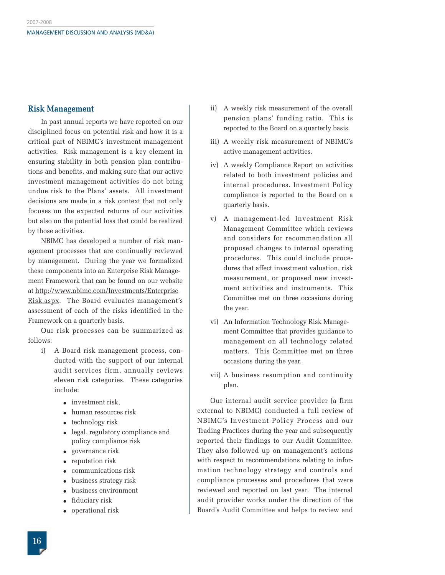#### **Risk Management**

In past annual reports we have reported on our disciplined focus on potential risk and how it is a critical part of NBIMC's investment management activities. Risk management is a key element in ensuring stability in both pension plan contributions and benefits, and making sure that our active investment management activities do not bring undue risk to the Plans' assets. All investment decisions are made in a risk context that not only focuses on the expected returns of our activities but also on the potential loss that could be realized by those activities.

NBIMC has developed a number of risk management processes that are continually reviewed by management. During the year we formalized these components into an Enterprise Risk Management Framework that can be found on our website at http://www.nbimc.com/Investments/Enterprise Risk.aspx. The Board evaluates management's assessment of each of the risks identified in the Framework on a quarterly basis.

Our risk processes can be summarized as follows:

- i) A Board risk management process, conducted with the support of our internal audit services firm, annually reviews eleven risk categories. These categories include:
	- investment risk.
	- human resources risk
	- technology risk
	- legal, regulatory compliance and policy compliance risk
	- governance risk
	- reputation risk
	- communications risk
	- business strategy risk
	- business environment
	- fiduciary risk
	- operational risk
- ii) A weekly risk measurement of the overall pension plans' funding ratio. This is reported to the Board on a quarterly basis.
- iii) A weekly risk measurement of NBIMC's active management activities.
- iv) A weekly Compliance Report on activities related to both investment policies and internal procedures. Investment Policy compliance is reported to the Board on a quarterly basis.
- v) A management-led Investment Risk Management Committee which reviews and considers for recommendation all proposed changes to internal operating procedures. This could include procedures that affect investment valuation, risk measurement, or proposed new investment activities and instruments. This Committee met on three occasions during the year.
- vi) An Information Technology Risk Management Committee that provides guidance to management on all technology related matters. This Committee met on three occasions during the year.
- vii) A business resumption and continuity plan.

Our internal audit service provider (a firm external to NBIMC) conducted a full review of NBIMC's Investment Policy Process and our Trading Practices during the year and subsequently reported their findings to our Audit Committee. They also followed up on management's actions with respect to recommendations relating to information technology strategy and controls and compliance processes and procedures that were reviewed and reported on last year. The internal audit provider works under the direction of the Board's Audit Committee and helps to review and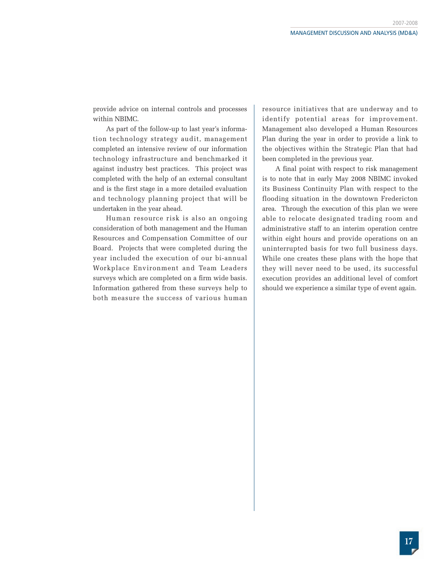provide advice on internal controls and processes within NBIMC.

As part of the follow-up to last year's information technology strategy audit, management completed an intensive review of our information technology infrastructure and benchmarked it against industry best practices. This project was completed with the help of an external consultant and is the first stage in a more detailed evaluation and technology planning project that will be undertaken in the year ahead.

Human resource risk is also an ongoing consideration of both management and the Human Resources and Compensation Committee of our Board. Projects that were completed during the year included the execution of our bi-annual Workplace Environment and Team Leaders surveys which are completed on a firm wide basis. Information gathered from these surveys help to both measure the success of various human

resource initiatives that are underway and to identify potential areas for improvement. Management also developed a Human Resources Plan during the year in order to provide a link to the objectives within the Strategic Plan that had been completed in the previous year.

A final point with respect to risk management is to note that in early May 2008 NBIMC invoked its Business Continuity Plan with respect to the flooding situation in the downtown Fredericton area. Through the execution of this plan we were able to relocate designated trading room and administrative staff to an interim operation centre within eight hours and provide operations on an uninterrupted basis for two full business days. While one creates these plans with the hope that they will never need to be used, its successful execution provides an additional level of comfort should we experience a similar type of event again.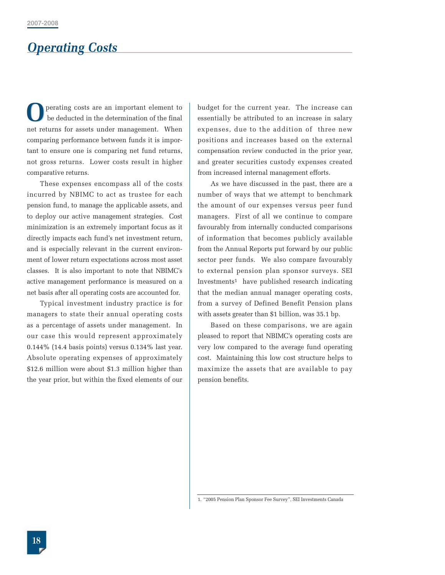# *Operating Costs*

perating costs are an important element to be deducted in the determination of the final net returns for assets under management. When comparing performance between funds it is important to ensure one is comparing net fund returns, not gross returns. Lower costs result in higher comparative returns. **O**

These expenses encompass all of the costs incurred by NBIMC to act as trustee for each pension fund, to manage the applicable assets, and to deploy our active management strategies. Cost minimization is an extremely important focus as it directly impacts each fund's net investment return, and is especially relevant in the current environment of lower return expectations across most asset classes. It is also important to note that NBIMC's active management performance is measured on a net basis after all operating costs are accounted for.

Typical investment industry practice is for managers to state their annual operating costs as a percentage of assets under management. In our case this would represent approximately 0.144% (14.4 basis points) versus 0.134% last year. Absolute operating expenses of approximately \$12.6 million were about \$1.3 million higher than the year prior, but within the fixed elements of our

budget for the current year. The increase can essentially be attributed to an increase in salary expenses, due to the addition of three new positions and increases based on the external compensation review conducted in the prior year, and greater securities custody expenses created from increased internal management efforts.

As we have discussed in the past, there are a number of ways that we attempt to benchmark the amount of our expenses versus peer fund managers. First of all we continue to compare favourably from internally conducted comparisons of information that becomes publicly available from the Annual Reports put forward by our public sector peer funds. We also compare favourably to external pension plan sponsor surveys. SEI Investments1 have published research indicating that the median annual manager operating costs, from a survey of Defined Benefit Pension plans with assets greater than \$1 billion, was 35.1 bp.

Based on these comparisons, we are again pleased to report that NBIMC's operating costs are very low compared to the average fund operating cost. Maintaining this low cost structure helps to maximize the assets that are available to pay pension benefits.

1. "2005 Pension Plan Sponsor Fee Survey", SEI Investments Canada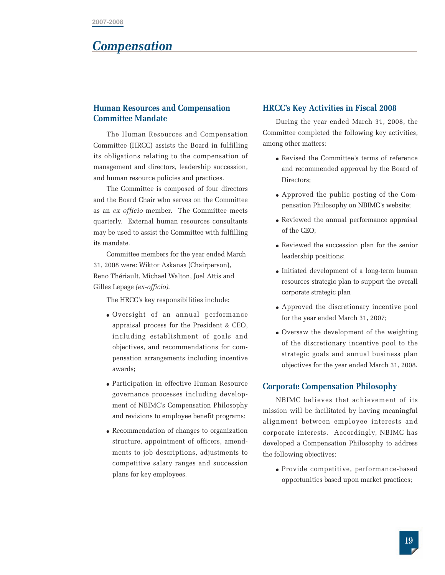### *Compensation*

#### **Human Resources and Compensation Committee Mandate**

The Human Resources and Compensation Committee (HRCC) assists the Board in fulfilling its obligations relating to the compensation of management and directors, leadership succession, and human resource policies and practices.

The Committee is composed of four directors and the Board Chair who serves on the Committee as an *ex officio* member. The Committee meets quarterly. External human resources consultants may be used to assist the Committee with fulfilling its mandate.

Committee members for the year ended March 31, 2008 were: Wiktor Askanas (Chairperson), Reno Thériault, Michael Walton, Joel Attis and Gilles Lepage *(ex-officio)*.

The HRCC's key responsibilities include:

- Oversight of an annual performance appraisal process for the President & CEO, including establishment of goals and objectives, and recommendations for compensation arrangements including incentive awards;
- Participation in effective Human Resource governance processes including development of NBIMC's Compensation Philosophy and revisions to employee benefit programs;
- Recommendation of changes to organization structure, appointment of officers, amendments to job descriptions, adjustments to competitive salary ranges and succession plans for key employees.

#### **HRCC's Key Activities in Fiscal 2008**

During the year ended March 31, 2008, the Committee completed the following key activities, among other matters:

- Revised the Committee's terms of reference and recommended approval by the Board of Directors;
- Approved the public posting of the Compensation Philosophy on NBIMC's website;
- Reviewed the annual performance appraisal of the CEO;
- Reviewed the succession plan for the senior leadership positions;
- Initiated development of a long-term human resources strategic plan to support the overall corporate strategic plan
- Approved the discretionary incentive pool for the year ended March 31, 2007;
- Oversaw the development of the weighting of the discretionary incentive pool to the strategic goals and annual business plan objectives for the year ended March 31, 2008.

#### **Corporate Compensation Philosophy**

NBIMC believes that achievement of its mission will be facilitated by having meaningful alignment between employee interests and corporate interests. Accordingly, NBIMC has developed a Compensation Philosophy to address the following objectives:

● Provide competitive, performance-based opportunities based upon market practices;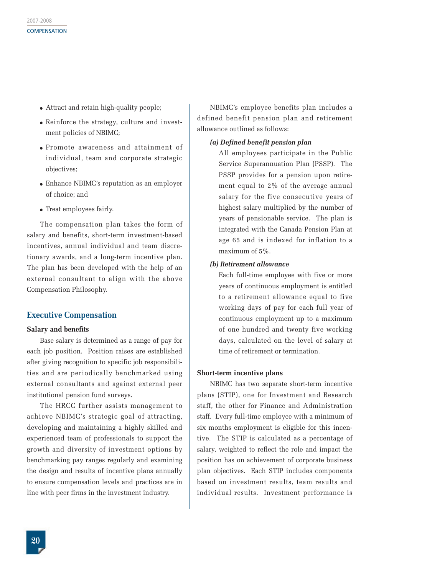- Attract and retain high-quality people;
- Reinforce the strategy, culture and investment policies of NBIMC;
- Promote awareness and attainment of individual, team and corporate strategic objectives;
- Enhance NBIMC's reputation as an employer of choice; and
- Treat employees fairly.

The compensation plan takes the form of salary and benefits, short-term investment-based incentives, annual individual and team discretionary awards, and a long-term incentive plan. The plan has been developed with the help of an external consultant to align with the above Compensation Philosophy.

#### **Executive Compensation**

#### **Salary and benefits**

Base salary is determined as a range of pay for each job position. Position raises are established after giving recognition to specific job responsibilities and are periodically benchmarked using external consultants and against external peer institutional pension fund surveys.

The HRCC further assists management to achieve NBIMC's strategic goal of attracting, developing and maintaining a highly skilled and experienced team of professionals to support the growth and diversity of investment options by benchmarking pay ranges regularly and examining the design and results of incentive plans annually to ensure compensation levels and practices are in line with peer firms in the investment industry.

NBIMC's employee benefits plan includes a defined benefit pension plan and retirement allowance outlined as follows:

#### *(a) Defined benefit pension plan*

All employees participate in the Public Service Superannuation Plan (PSSP). The PSSP provides for a pension upon retirement equal to 2% of the average annual salary for the five consecutive years of highest salary multiplied by the number of years of pensionable service. The plan is integrated with the Canada Pension Plan at age 65 and is indexed for inflation to a maximum of 5%.

#### *(b) Retirement allowance*

Each full-time employee with five or more years of continuous employment is entitled to a retirement allowance equal to five working days of pay for each full year of continuous employment up to a maximum of one hundred and twenty five working days, calculated on the level of salary at time of retirement or termination.

#### **Short-term incentive plans**

NBIMC has two separate short-term incentive plans (STIP), one for Investment and Research staff, the other for Finance and Administration staff. Every full-time employee with a minimum of six months employment is eligible for this incentive. The STIP is calculated as a percentage of salary, weighted to reflect the role and impact the position has on achievement of corporate business plan objectives. Each STIP includes components based on investment results, team results and individual results. Investment performance is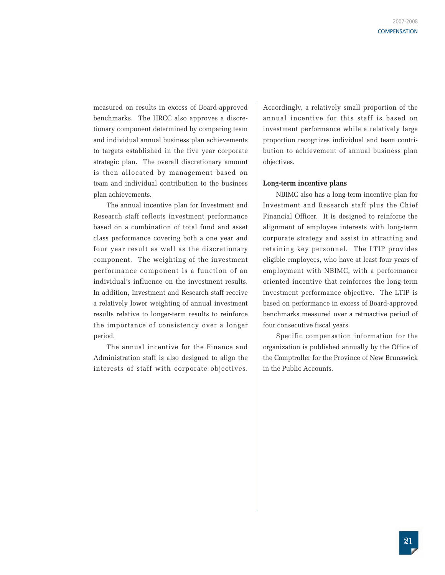measured on results in excess of Board-approved benchmarks. The HRCC also approves a discretionary component determined by comparing team and individual annual business plan achievements to targets established in the five year corporate strategic plan. The overall discretionary amount is then allocated by management based on team and individual contribution to the business plan achievements.

The annual incentive plan for Investment and Research staff reflects investment performance based on a combination of total fund and asset class performance covering both a one year and four year result as well as the discretionary component. The weighting of the investment performance component is a function of an individual's influence on the investment results. In addition, Investment and Research staff receive a relatively lower weighting of annual investment results relative to longer-term results to reinforce the importance of consistency over a longer period.

The annual incentive for the Finance and Administration staff is also designed to align the interests of staff with corporate objectives. Accordingly, a relatively small proportion of the annual incentive for this staff is based on investment performance while a relatively large proportion recognizes individual and team contribution to achievement of annual business plan objectives.

#### **Long-term incentive plans**

NBIMC also has a long-term incentive plan for Investment and Research staff plus the Chief Financial Officer. It is designed to reinforce the alignment of employee interests with long-term corporate strategy and assist in attracting and retaining key personnel. The LTIP provides eligible employees, who have at least four years of employment with NBIMC, with a performance oriented incentive that reinforces the long-term investment performance objective. The LTIP is based on performance in excess of Board-approved benchmarks measured over a retroactive period of four consecutive fiscal years.

Specific compensation information for the organization is published annually by the Office of the Comptroller for the Province of New Brunswick in the Public Accounts.